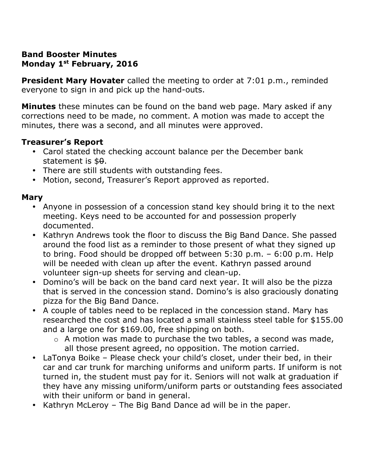#### **Band Booster Minutes Monday 1st February, 2016**

**President Mary Hovater** called the meeting to order at 7:01 p.m., reminded everyone to sign in and pick up the hand-outs.

**Minutes** these minutes can be found on the band web page. Mary asked if any corrections need to be made, no comment. A motion was made to accept the minutes, there was a second, and all minutes were approved.

### **Treasurer's Report**

- Carol stated the checking account balance per the December bank statement is  $$9.$
- There are still students with outstanding fees.
- Motion, second, Treasurer's Report approved as reported.

### **Mary**

- Anyone in possession of a concession stand key should bring it to the next meeting. Keys need to be accounted for and possession properly documented.
- Kathryn Andrews took the floor to discuss the Big Band Dance. She passed around the food list as a reminder to those present of what they signed up to bring. Food should be dropped off between 5:30 p.m. – 6:00 p.m. Help will be needed with clean up after the event. Kathryn passed around volunteer sign-up sheets for serving and clean-up.
- Domino's will be back on the band card next year. It will also be the pizza that is served in the concession stand. Domino's is also graciously donating pizza for the Big Band Dance.
- A couple of tables need to be replaced in the concession stand. Mary has researched the cost and has located a small stainless steel table for \$155.00 and a large one for \$169.00, free shipping on both.
	- o A motion was made to purchase the two tables, a second was made, all those present agreed, no opposition. The motion carried.
- LaTonya Boike Please check your child's closet, under their bed, in their car and car trunk for marching uniforms and uniform parts. If uniform is not turned in, the student must pay for it. Seniors will not walk at graduation if they have any missing uniform/uniform parts or outstanding fees associated with their uniform or band in general.
- Kathryn McLeroy The Big Band Dance ad will be in the paper.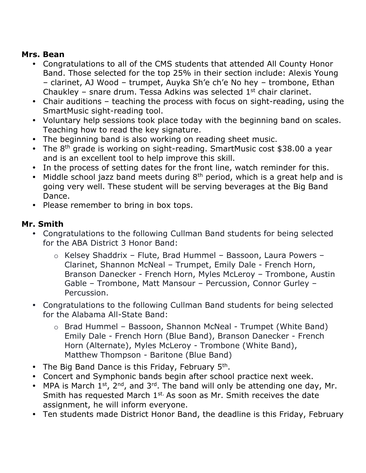### **Mrs. Bean**

- Congratulations to all of the CMS students that attended All County Honor Band. Those selected for the top 25% in their section include: Alexis Young – clarinet, AJ Wood – trumpet, Auyka Sh'e ch'e No hey – trombone, Ethan Chaukley – snare drum. Tessa Adkins was selected  $1<sup>st</sup>$  chair clarinet.
- Chair auditions teaching the process with focus on sight-reading, using the SmartMusic sight-reading tool.
- Voluntary help sessions took place today with the beginning band on scales. Teaching how to read the key signature.
- The beginning band is also working on reading sheet music.
- The  $8<sup>th</sup>$  grade is working on sight-reading. SmartMusic cost \$38.00 a year and is an excellent tool to help improve this skill.
- In the process of setting dates for the front line, watch reminder for this.
- Middle school jazz band meets during  $8<sup>th</sup>$  period, which is a great help and is going very well. These student will be serving beverages at the Big Band Dance.
- Please remember to bring in box tops.

## **Mr. Smith**

- Congratulations to the following Cullman Band students for being selected for the ABA District 3 Honor Band:
	- o Kelsey Shaddrix Flute, Brad Hummel Bassoon, Laura Powers Clarinet, Shannon McNeal – Trumpet, Emily Dale - French Horn, Branson Danecker - French Horn, Myles McLeroy – Trombone, Austin Gable – Trombone, Matt Mansour – Percussion, Connor Gurley – Percussion.
- Congratulations to the following Cullman Band students for being selected for the Alabama All-State Band:
	- o Brad Hummel Bassoon, Shannon McNeal Trumpet (White Band) Emily Dale - French Horn (Blue Band), Branson Danecker - French Horn (Alternate), Myles McLeroy - Trombone (White Band), Matthew Thompson - Baritone (Blue Band)
- The Big Band Dance is this Friday, February 5<sup>th</sup>.
- Concert and Symphonic bands begin after school practice next week.
- MPA is March  $1^{st}$ ,  $2^{nd}$ , and  $3^{rd}$ . The band will only be attending one day, Mr. Smith has requested March 1<sup>st.</sup> As soon as Mr. Smith receives the date assignment, he will inform everyone.
- Ten students made District Honor Band, the deadline is this Friday, February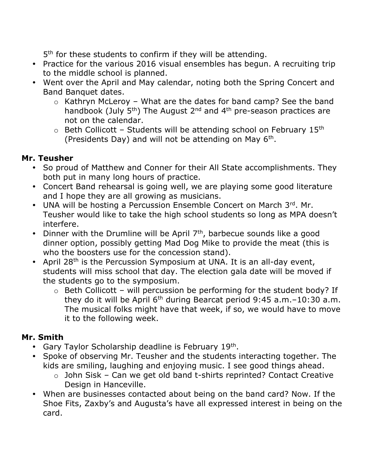5<sup>th</sup> for these students to confirm if they will be attending.

- Practice for the various 2016 visual ensembles has begun. A recruiting trip to the middle school is planned.
- Went over the April and May calendar, noting both the Spring Concert and Band Banquet dates.
	- $\circ$  Kathryn McLeroy What are the dates for band camp? See the band handbook (July  $5<sup>th</sup>$ ) The August 2<sup>nd</sup> and 4<sup>th</sup> pre-season practices are not on the calendar.
	- $\circ$  Beth Collicott Students will be attending school on February 15<sup>th</sup> (Presidents Day) and will not be attending on May  $6<sup>th</sup>$ .

## **Mr. Teusher**

- So proud of Matthew and Conner for their All State accomplishments. They both put in many long hours of practice.
- Concert Band rehearsal is going well, we are playing some good literature and I hope they are all growing as musicians.
- UNA will be hosting a Percussion Ensemble Concert on March  $3<sup>rd</sup>$ . Mr. Teusher would like to take the high school students so long as MPA doesn't interfere.
- Dinner with the Drumline will be April  $7<sup>th</sup>$ , barbecue sounds like a good dinner option, possibly getting Mad Dog Mike to provide the meat (this is who the boosters use for the concession stand).
- April  $28<sup>th</sup>$  is the Percussion Symposium at UNA. It is an all-day event, students will miss school that day. The election gala date will be moved if the students go to the symposium.
	- $\circ$  Beth Collicott will percussion be performing for the student body? If they do it will be April  $6<sup>th</sup>$  during Bearcat period 9:45 a.m. $-10:30$  a.m. The musical folks might have that week, if so, we would have to move it to the following week.

# **Mr. Smith**

- Gary Taylor Scholarship deadline is February 19<sup>th</sup>.
- Spoke of observing Mr. Teusher and the students interacting together. The kids are smiling, laughing and enjoying music. I see good things ahead.
	- o John Sisk Can we get old band t-shirts reprinted? Contact Creative Design in Hanceville.
- When are businesses contacted about being on the band card? Now. If the Shoe Fits, Zaxby's and Augusta's have all expressed interest in being on the card.